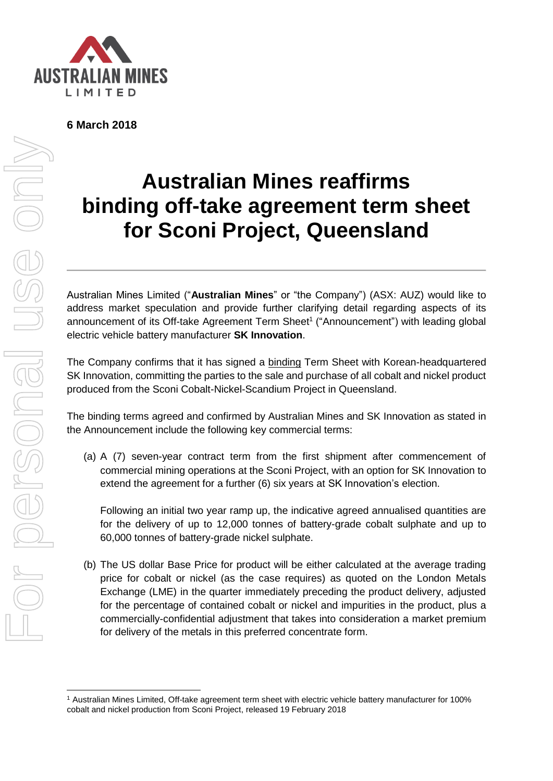

**6 March 2018**

## For personal use only personal use onl

<u>.</u>

## **Australian Mines reaffirms binding off-take agreement term sheet for Sconi Project, Queensland**

Australian Mines Limited ("**Australian Mines**" or "the Company") (ASX: AUZ) would like to address market speculation and provide further clarifying detail regarding aspects of its announcement of its Off-take Agreement Term Sheet<sup>1</sup> ("Announcement") with leading global electric vehicle battery manufacturer **SK Innovation**.

The Company confirms that it has signed a binding Term Sheet with Korean-headquartered SK Innovation, committing the parties to the sale and purchase of all cobalt and nickel product produced from the Sconi Cobalt-Nickel-Scandium Project in Queensland.

The binding terms agreed and confirmed by Australian Mines and SK Innovation as stated in the Announcement include the following key commercial terms:

(a) A (7) seven-year contract term from the first shipment after commencement of commercial mining operations at the Sconi Project, with an option for SK Innovation to extend the agreement for a further (6) six years at SK Innovation's election.

Following an initial two year ramp up, the indicative agreed annualised quantities are for the delivery of up to 12,000 tonnes of battery-grade cobalt sulphate and up to 60,000 tonnes of battery-grade nickel sulphate.

(b) The US dollar Base Price for product will be either calculated at the average trading price for cobalt or nickel (as the case requires) as quoted on the London Metals Exchange (LME) in the quarter immediately preceding the product delivery, adjusted for the percentage of contained cobalt or nickel and impurities in the product, plus a commercially-confidential adjustment that takes into consideration a market premium for delivery of the metals in this preferred concentrate form.

<sup>1</sup> Australian Mines Limited, Off-take agreement term sheet with electric vehicle battery manufacturer for 100% cobalt and nickel production from Sconi Project, released 19 February 2018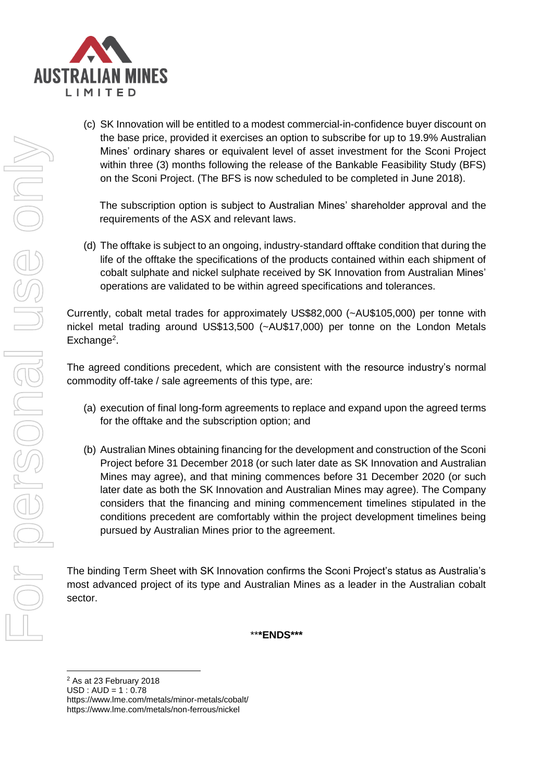

(c) SK Innovation will be entitled to a modest commercial-in-confidence buyer discount on the base price, provided it exercises an option to subscribe for up to 19.9% Australian Mines' ordinary shares or equivalent level of asset investment for the Sconi Project within three (3) months following the release of the Bankable Feasibility Study (BFS) on the Sconi Project. (The BFS is now scheduled to be completed in June 2018).

The subscription option is subject to Australian Mines' shareholder approval and the requirements of the ASX and relevant laws.

(d) The offtake is subject to an ongoing, industry-standard offtake condition that during the life of the offtake the specifications of the products contained within each shipment of cobalt sulphate and nickel sulphate received by SK Innovation from Australian Mines' operations are validated to be within agreed specifications and tolerances.

Currently, cobalt metal trades for approximately US\$82,000 (~AU\$105,000) per tonne with nickel metal trading around US\$13,500 (~AU\$17,000) per tonne on the London Metals Exchange<sup>2</sup>.

The agreed conditions precedent, which are consistent with the resource industry's normal commodity off-take / sale agreements of this type, are:

- (a) execution of final long-form agreements to replace and expand upon the agreed terms for the offtake and the subscription option; and
- (b) Australian Mines obtaining financing for the development and construction of the Sconi Project before 31 December 2018 (or such later date as SK Innovation and Australian Mines may agree), and that mining commences before 31 December 2020 (or such later date as both the SK Innovation and Australian Mines may agree). The Company considers that the financing and mining commencement timelines stipulated in the conditions precedent are comfortably within the project development timelines being pursued by Australian Mines prior to the agreement.

The binding Term Sheet with SK Innovation confirms the Sconi Project's status as Australia's most advanced project of its type and Australian Mines as a leader in the Australian cobalt sector.

\*\***\*ENDS\*\*\***

USD : AUD = 1 : 0.78

<sup>1</sup> <sup>2</sup> As at 23 February 2018

https://www.lme.com/metals/minor-metals/cobalt/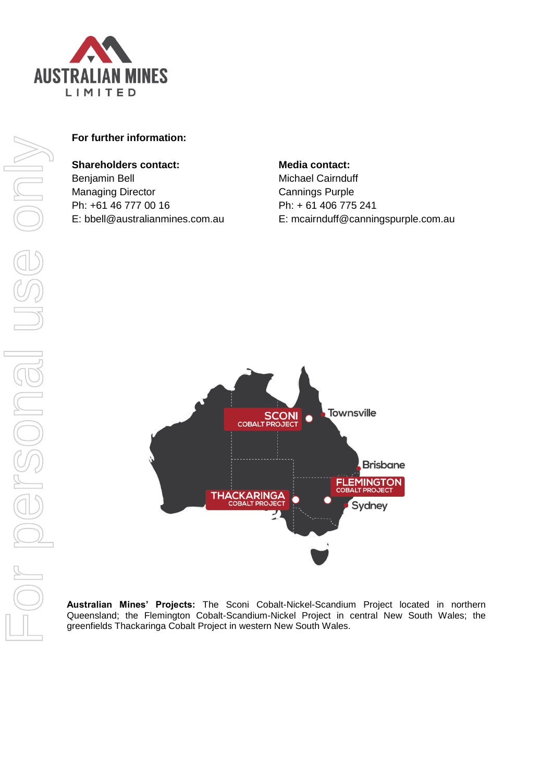

## **For further information:**

## **Shareholders contact:**

Benjamin Bell Managing Director Ph: +61 46 777 00 16 E: bbell@australianmines.com.au **Media contact:** Michael Cairnduff Cannings Purple Ph: + 61 406 775 241 E: mcairnduff@canningspurple.com.au



**Australian Mines' Projects:** The Sconi Cobalt-Nickel-Scandium Project located in northern Queensland; the Flemington Cobalt-Scandium-Nickel Project in central New South Wales; the greenfields Thackaringa Cobalt Project in western New South Wales.